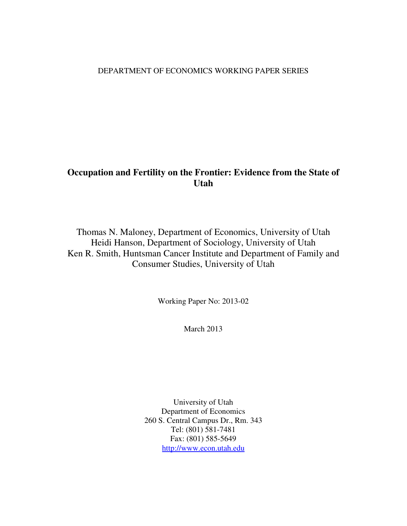### DEPARTMENT OF ECONOMICS WORKING PAPER SERIES

# **Occupation and Fertility on the Frontier: Evidence from the State of Utah**

Thomas N. Maloney, Department of Economics, University of Utah Heidi Hanson, Department of Sociology, University of Utah Ken R. Smith, Huntsman Cancer Institute and Department of Family and Consumer Studies, University of Utah

Working Paper No: 2013-02

March 2013

University of Utah Department of Economics 260 S. Central Campus Dr., Rm. 343 Tel: (801) 581-7481 Fax: (801) 585-5649 http://www.econ.utah.edu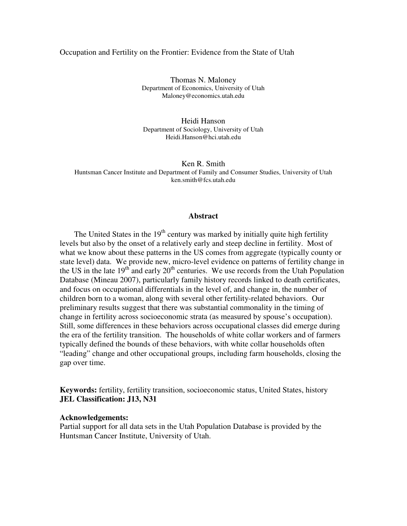#### Occupation and Fertility on the Frontier: Evidence from the State of Utah

Thomas N. Maloney Department of Economics, University of Utah Maloney@economics.utah.edu

Heidi Hanson Department of Sociology, University of Utah Heidi.Hanson@hci.utah.edu

Ken R. Smith Huntsman Cancer Institute and Department of Family and Consumer Studies, University of Utah ken.smith@fcs.utah.edu

#### **Abstract**

The United States in the  $19<sup>th</sup>$  century was marked by initially quite high fertility levels but also by the onset of a relatively early and steep decline in fertility. Most of what we know about these patterns in the US comes from aggregate (typically county or state level) data. We provide new, micro-level evidence on patterns of fertility change in the US in the late  $19<sup>th</sup>$  and early  $20<sup>th</sup>$  centuries. We use records from the Utah Population Database (Mineau 2007), particularly family history records linked to death certificates, and focus on occupational differentials in the level of, and change in, the number of children born to a woman, along with several other fertility-related behaviors. Our preliminary results suggest that there was substantial commonality in the timing of change in fertility across socioeconomic strata (as measured by spouse's occupation). Still, some differences in these behaviors across occupational classes did emerge during the era of the fertility transition. The households of white collar workers and of farmers typically defined the bounds of these behaviors, with white collar households often "leading" change and other occupational groups, including farm households, closing the gap over time.

**Keywords:** fertility, fertility transition, socioeconomic status, United States, history **JEL Classification: J13, N31**

#### **Acknowledgements:**

Partial support for all data sets in the Utah Population Database is provided by the Huntsman Cancer Institute, University of Utah.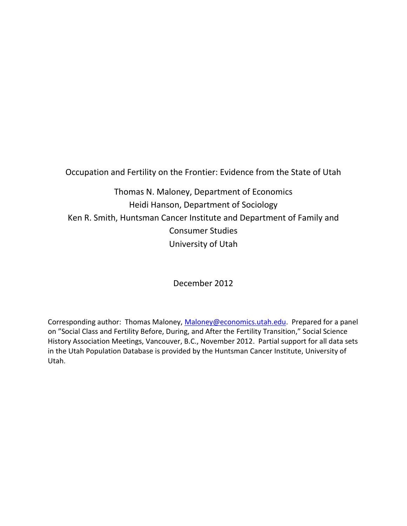Occupation and Fertility on the Frontier: Evidence from the State of Utah

Thomas N. Maloney, Department of Economics Heidi Hanson, Department of Sociology Ken R. Smith, Huntsman Cancer Institute and Department of Family and Consumer Studies University of Utah

December 2012

Corresponding author: Thomas Maloney, [Maloney@economics.utah.edu.](mailto:Maloney@economics.utah.edu) Prepared for a panel on "Social Class and Fertility Before, During, and After the Fertility Transition," Social Science History Association Meetings, Vancouver, B.C., November 2012. Partial support for all data sets in the Utah Population Database is provided by the Huntsman Cancer Institute, University of Utah.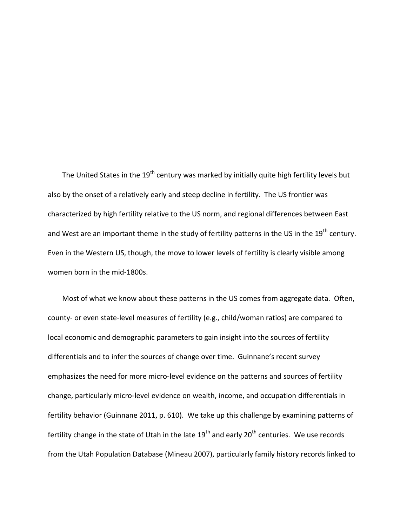The United States in the 19<sup>th</sup> century was marked by initially quite high fertility levels but also by the onset of a relatively early and steep decline in fertility. The US frontier was characterized by high fertility relative to the US norm, and regional differences between East and West are an important theme in the study of fertility patterns in the US in the 19<sup>th</sup> century. Even in the Western US, though, the move to lower levels of fertility is clearly visible among women born in the mid-1800s.

Most of what we know about these patterns in the US comes from aggregate data. Often, county- or even state-level measures of fertility (e.g., child/woman ratios) are compared to local economic and demographic parameters to gain insight into the sources of fertility differentials and to infer the sources of change over time. Guinnane's recent survey emphasizes the need for more micro-level evidence on the patterns and sources of fertility change, particularly micro-level evidence on wealth, income, and occupation differentials in fertility behavior (Guinnane 2011, p. 610). We take up this challenge by examining patterns of fertility change in the state of Utah in the late  $19<sup>th</sup>$  and early  $20<sup>th</sup>$  centuries. We use records from the Utah Population Database (Mineau 2007), particularly family history records linked to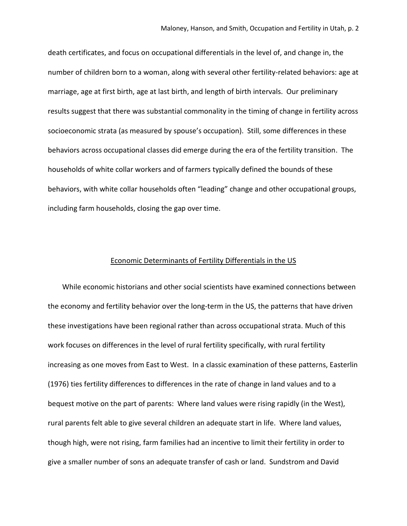death certificates, and focus on occupational differentials in the level of, and change in, the number of children born to a woman, along with several other fertility-related behaviors: age at marriage, age at first birth, age at last birth, and length of birth intervals. Our preliminary results suggest that there was substantial commonality in the timing of change in fertility across socioeconomic strata (as measured by spouse's occupation). Still, some differences in these behaviors across occupational classes did emerge during the era of the fertility transition. The households of white collar workers and of farmers typically defined the bounds of these behaviors, with white collar households often "leading" change and other occupational groups, including farm households, closing the gap over time.

#### Economic Determinants of Fertility Differentials in the US

While economic historians and other social scientists have examined connections between the economy and fertility behavior over the long-term in the US, the patterns that have driven these investigations have been regional rather than across occupational strata. Much of this work focuses on differences in the level of rural fertility specifically, with rural fertility increasing as one moves from East to West. In a classic examination of these patterns, Easterlin (1976) ties fertility differences to differences in the rate of change in land values and to a bequest motive on the part of parents: Where land values were rising rapidly (in the West), rural parents felt able to give several children an adequate start in life. Where land values, though high, were not rising, farm families had an incentive to limit their fertility in order to give a smaller number of sons an adequate transfer of cash or land. Sundstrom and David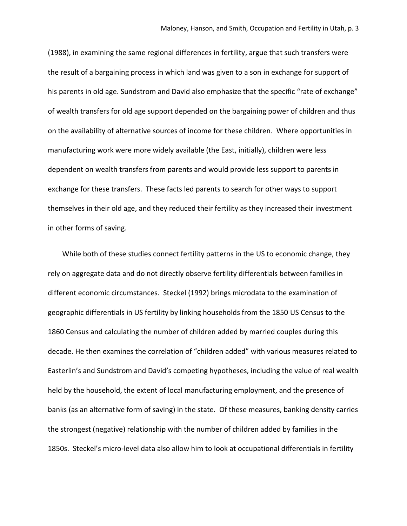(1988), in examining the same regional differences in fertility, argue that such transfers were the result of a bargaining process in which land was given to a son in exchange for support of his parents in old age. Sundstrom and David also emphasize that the specific "rate of exchange" of wealth transfers for old age support depended on the bargaining power of children and thus on the availability of alternative sources of income for these children. Where opportunities in manufacturing work were more widely available (the East, initially), children were less dependent on wealth transfers from parents and would provide less support to parents in exchange for these transfers. These facts led parents to search for other ways to support themselves in their old age, and they reduced their fertility as they increased their investment in other forms of saving.

While both of these studies connect fertility patterns in the US to economic change, they rely on aggregate data and do not directly observe fertility differentials between families in different economic circumstances. Steckel (1992) brings microdata to the examination of geographic differentials in US fertility by linking households from the 1850 US Census to the 1860 Census and calculating the number of children added by married couples during this decade. He then examines the correlation of "children added" with various measures related to Easterlin's and Sundstrom and David's competing hypotheses, including the value of real wealth held by the household, the extent of local manufacturing employment, and the presence of banks (as an alternative form of saving) in the state. Of these measures, banking density carries the strongest (negative) relationship with the number of children added by families in the 1850s. Steckel's micro-level data also allow him to look at occupational differentials in fertility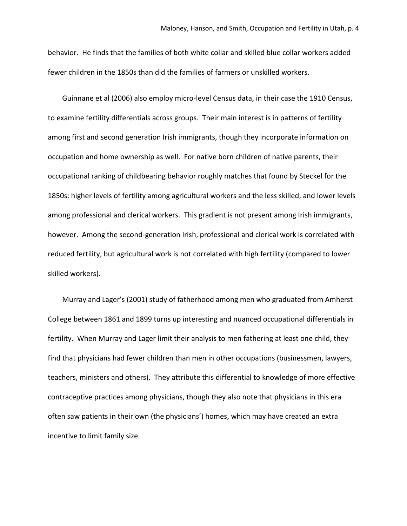behavior. He finds that the families of both white collar and skilled blue collar workers added fewer children in the 1850s than did the families of farmers or unskilled workers.

Guinnane et al (2006) also employ micro-level Census data, in their case the 1910 Census, to examine fertility differentials across groups. Their main interest is in patterns of fertility among first and second generation Irish immigrants, though they incorporate information on occupation and home ownership as well. For native born children of native parents, their occupational ranking of childbearing behavior roughly matches that found by Steckel for the 1850s: higher levels of fertility among agricultural workers and the less skilled, and lower levels among professional and clerical workers. This gradient is not present among Irish immigrants, however. Among the second-generation Irish, professional and clerical work is correlated with reduced fertility, but agricultural work is not correlated with high fertility (compared to lower skilled workers).

Murray and Lager's (2001) study of fatherhood among men who graduated from Amherst College between 1861 and 1899 turns up interesting and nuanced occupational differentials in fertility. When Murray and Lager limit their analysis to men fathering at least one child, they find that physicians had fewer children than men in other occupations (businessmen, lawyers, teachers, ministers and others). They attribute this differential to knowledge of more effective contraceptive practices among physicians, though they also note that physicians in this era often saw patients in their own (the physicians') homes, which may have created an extra incentive to limit family size.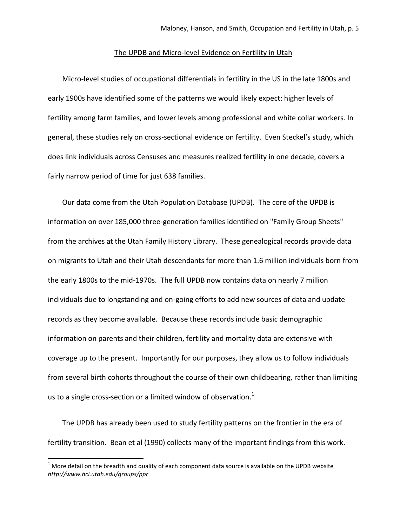#### The UPDB and Micro-level Evidence on Fertility in Utah

Micro-level studies of occupational differentials in fertility in the US in the late 1800s and early 1900s have identified some of the patterns we would likely expect: higher levels of fertility among farm families, and lower levels among professional and white collar workers. In general, these studies rely on cross-sectional evidence on fertility. Even Steckel's study, which does link individuals across Censuses and measures realized fertility in one decade, covers a fairly narrow period of time for just 638 families.

Our data come from the Utah Population Database (UPDB). The core of the UPDB is information on over 185,000 three-generation families identified on "Family Group Sheets" from the archives at the Utah Family History Library. These genealogical records provide data on migrants to Utah and their Utah descendants for more than 1.6 million individuals born from the early 1800s to the mid-1970s. The full UPDB now contains data on nearly 7 million individuals due to longstanding and on-going efforts to add new sources of data and update records as they become available. Because these records include basic demographic information on parents and their children, fertility and mortality data are extensive with coverage up to the present. Importantly for our purposes, they allow us to follow individuals from several birth cohorts throughout the course of their own childbearing, rather than limiting us to a single cross-section or a limited window of observation. $<sup>1</sup>$ </sup>

The UPDB has already been used to study fertility patterns on the frontier in the era of fertility transition. Bean et al (1990) collects many of the important findings from this work.

l

 $1$  More detail on the breadth and quality of each component data source is available on the UPDB website *http://www.hci.utah.edu/groups/ppr*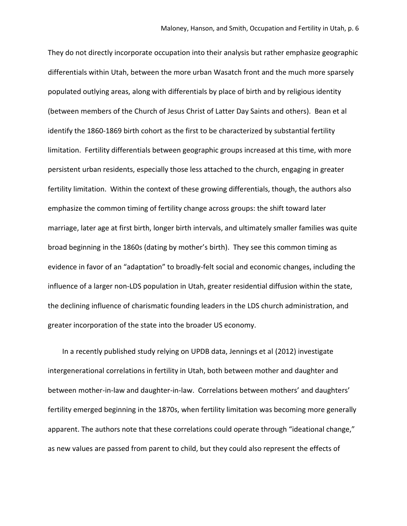They do not directly incorporate occupation into their analysis but rather emphasize geographic differentials within Utah, between the more urban Wasatch front and the much more sparsely populated outlying areas, along with differentials by place of birth and by religious identity (between members of the Church of Jesus Christ of Latter Day Saints and others). Bean et al identify the 1860-1869 birth cohort as the first to be characterized by substantial fertility limitation. Fertility differentials between geographic groups increased at this time, with more persistent urban residents, especially those less attached to the church, engaging in greater fertility limitation. Within the context of these growing differentials, though, the authors also emphasize the common timing of fertility change across groups: the shift toward later marriage, later age at first birth, longer birth intervals, and ultimately smaller families was quite broad beginning in the 1860s (dating by mother's birth). They see this common timing as evidence in favor of an "adaptation" to broadly-felt social and economic changes, including the influence of a larger non-LDS population in Utah, greater residential diffusion within the state, the declining influence of charismatic founding leaders in the LDS church administration, and greater incorporation of the state into the broader US economy.

In a recently published study relying on UPDB data, Jennings et al (2012) investigate intergenerational correlations in fertility in Utah, both between mother and daughter and between mother-in-law and daughter-in-law. Correlations between mothers' and daughters' fertility emerged beginning in the 1870s, when fertility limitation was becoming more generally apparent. The authors note that these correlations could operate through "ideational change," as new values are passed from parent to child, but they could also represent the effects of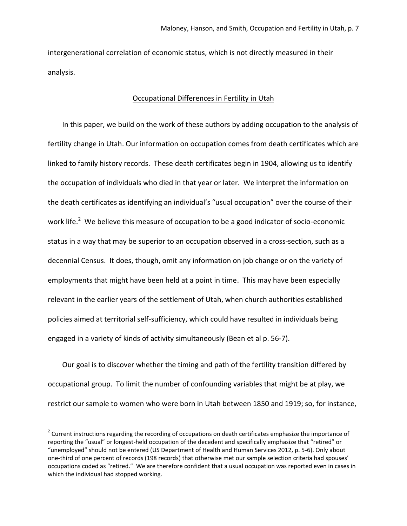intergenerational correlation of economic status, which is not directly measured in their analysis.

#### Occupational Differences in Fertility in Utah

In this paper, we build on the work of these authors by adding occupation to the analysis of fertility change in Utah. Our information on occupation comes from death certificates which are linked to family history records. These death certificates begin in 1904, allowing us to identify the occupation of individuals who died in that year or later. We interpret the information on the death certificates as identifying an individual's "usual occupation" over the course of their work life.<sup>2</sup> We believe this measure of occupation to be a good indicator of socio-economic status in a way that may be superior to an occupation observed in a cross-section, such as a decennial Census. It does, though, omit any information on job change or on the variety of employments that might have been held at a point in time. This may have been especially relevant in the earlier years of the settlement of Utah, when church authorities established policies aimed at territorial self-sufficiency, which could have resulted in individuals being engaged in a variety of kinds of activity simultaneously (Bean et al p. 56-7).

Our goal is to discover whether the timing and path of the fertility transition differed by occupational group. To limit the number of confounding variables that might be at play, we restrict our sample to women who were born in Utah between 1850 and 1919; so, for instance,

 $\overline{a}$ 

 $2$  Current instructions regarding the recording of occupations on death certificates emphasize the importance of reporting the "usual" or longest-held occupation of the decedent and specifically emphasize that "retired" or "unemployed" should not be entered (US Department of Health and Human Services 2012, p. 5-6). Only about one-third of one percent of records (198 records) that otherwise met our sample selection criteria had spouses' occupations coded as "retired." We are therefore confident that a usual occupation was reported even in cases in which the individual had stopped working.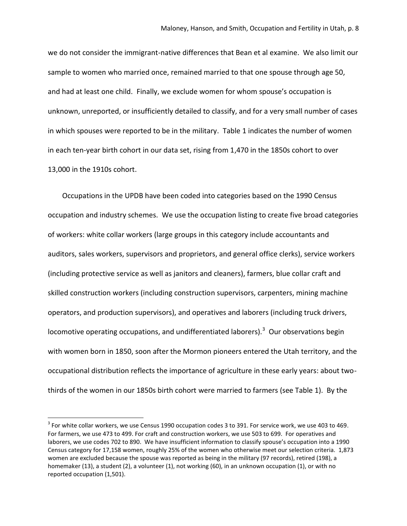we do not consider the immigrant-native differences that Bean et al examine. We also limit our sample to women who married once, remained married to that one spouse through age 50, and had at least one child. Finally, we exclude women for whom spouse's occupation is unknown, unreported, or insufficiently detailed to classify, and for a very small number of cases in which spouses were reported to be in the military. Table 1 indicates the number of women in each ten-year birth cohort in our data set, rising from 1,470 in the 1850s cohort to over 13,000 in the 1910s cohort.

Occupations in the UPDB have been coded into categories based on the 1990 Census occupation and industry schemes. We use the occupation listing to create five broad categories of workers: white collar workers (large groups in this category include accountants and auditors, sales workers, supervisors and proprietors, and general office clerks), service workers (including protective service as well as janitors and cleaners), farmers, blue collar craft and skilled construction workers (including construction supervisors, carpenters, mining machine operators, and production supervisors), and operatives and laborers (including truck drivers, locomotive operating occupations, and undifferentiated laborers).<sup>3</sup> Our observations begin with women born in 1850, soon after the Mormon pioneers entered the Utah territory, and the occupational distribution reflects the importance of agriculture in these early years: about twothirds of the women in our 1850s birth cohort were married to farmers (see Table 1). By the

 $\overline{\phantom{a}}$ 

 $^3$  For white collar workers, we use Census 1990 occupation codes 3 to 391. For service work, we use 403 to 469. For farmers, we use 473 to 499. For craft and construction workers, we use 503 to 699. For operatives and laborers, we use codes 702 to 890. We have insufficient information to classify spouse's occupation into a 1990 Census category for 17,158 women, roughly 25% of the women who otherwise meet our selection criteria. 1,873 women are excluded because the spouse was reported as being in the military (97 records), retired (198), a homemaker (13), a student (2), a volunteer (1), not working (60), in an unknown occupation (1), or with no reported occupation (1,501).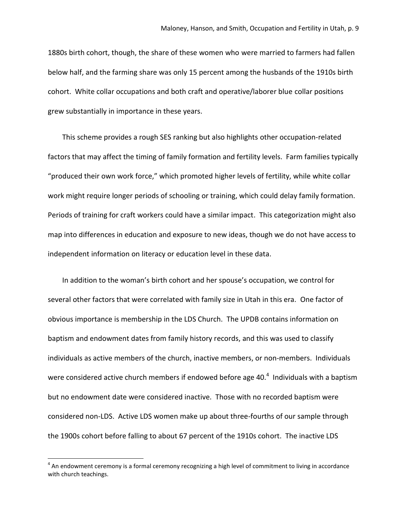1880s birth cohort, though, the share of these women who were married to farmers had fallen below half, and the farming share was only 15 percent among the husbands of the 1910s birth cohort. White collar occupations and both craft and operative/laborer blue collar positions grew substantially in importance in these years.

This scheme provides a rough SES ranking but also highlights other occupation-related factors that may affect the timing of family formation and fertility levels. Farm families typically "produced their own work force," which promoted higher levels of fertility, while white collar work might require longer periods of schooling or training, which could delay family formation. Periods of training for craft workers could have a similar impact. This categorization might also map into differences in education and exposure to new ideas, though we do not have access to independent information on literacy or education level in these data.

In addition to the woman's birth cohort and her spouse's occupation, we control for several other factors that were correlated with family size in Utah in this era. One factor of obvious importance is membership in the LDS Church. The UPDB contains information on baptism and endowment dates from family history records, and this was used to classify individuals as active members of the church, inactive members, or non-members. Individuals were considered active church members if endowed before age 40. $^{4}$  Individuals with a baptism but no endowment date were considered inactive. Those with no recorded baptism were considered non-LDS. Active LDS women make up about three-fourths of our sample through the 1900s cohort before falling to about 67 percent of the 1910s cohort. The inactive LDS

l

 $^4$  An endowment ceremony is a formal ceremony recognizing a high level of commitment to living in accordance with church teachings.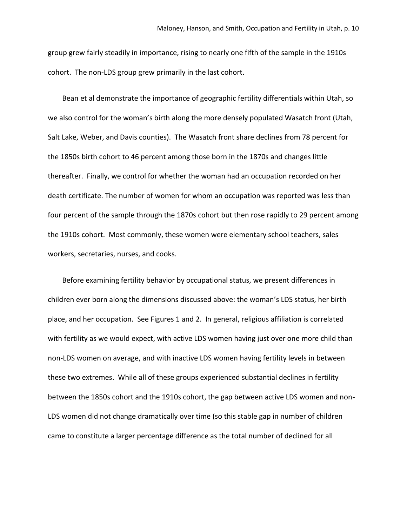group grew fairly steadily in importance, rising to nearly one fifth of the sample in the 1910s cohort. The non-LDS group grew primarily in the last cohort.

Bean et al demonstrate the importance of geographic fertility differentials within Utah, so we also control for the woman's birth along the more densely populated Wasatch front (Utah, Salt Lake, Weber, and Davis counties). The Wasatch front share declines from 78 percent for the 1850s birth cohort to 46 percent among those born in the 1870s and changes little thereafter. Finally, we control for whether the woman had an occupation recorded on her death certificate. The number of women for whom an occupation was reported was less than four percent of the sample through the 1870s cohort but then rose rapidly to 29 percent among the 1910s cohort. Most commonly, these women were elementary school teachers, sales workers, secretaries, nurses, and cooks.

Before examining fertility behavior by occupational status, we present differences in children ever born along the dimensions discussed above: the woman's LDS status, her birth place, and her occupation. See Figures 1 and 2. In general, religious affiliation is correlated with fertility as we would expect, with active LDS women having just over one more child than non-LDS women on average, and with inactive LDS women having fertility levels in between these two extremes. While all of these groups experienced substantial declines in fertility between the 1850s cohort and the 1910s cohort, the gap between active LDS women and non-LDS women did not change dramatically over time (so this stable gap in number of children came to constitute a larger percentage difference as the total number of declined for all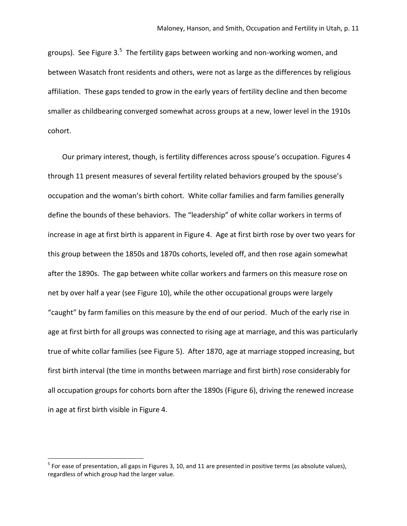groups). See Figure 3.<sup>5</sup> The fertility gaps between working and non-working women, and between Wasatch front residents and others, were not as large as the differences by religious affiliation. These gaps tended to grow in the early years of fertility decline and then become smaller as childbearing converged somewhat across groups at a new, lower level in the 1910s cohort.

Our primary interest, though, is fertility differences across spouse's occupation. Figures 4 through 11 present measures of several fertility related behaviors grouped by the spouse's occupation and the woman's birth cohort. White collar families and farm families generally define the bounds of these behaviors. The "leadership" of white collar workers in terms of increase in age at first birth is apparent in Figure 4. Age at first birth rose by over two years for this group between the 1850s and 1870s cohorts, leveled off, and then rose again somewhat after the 1890s. The gap between white collar workers and farmers on this measure rose on net by over half a year (see Figure 10), while the other occupational groups were largely "caught" by farm families on this measure by the end of our period. Much of the early rise in age at first birth for all groups was connected to rising age at marriage, and this was particularly true of white collar families (see Figure 5). After 1870, age at marriage stopped increasing, but first birth interval (the time in months between marriage and first birth) rose considerably for all occupation groups for cohorts born after the 1890s (Figure 6), driving the renewed increase in age at first birth visible in Figure 4.

l

 $^5$  For ease of presentation, all gaps in Figures 3, 10, and 11 are presented in positive terms (as absolute values), regardless of which group had the larger value.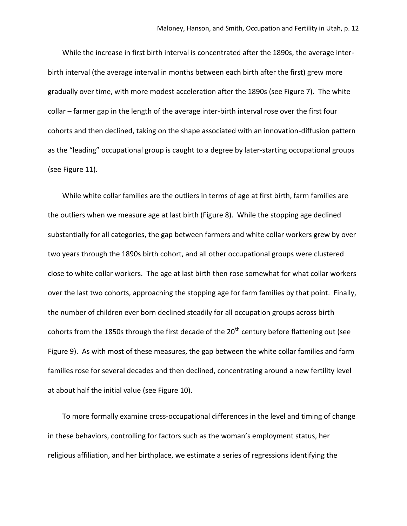While the increase in first birth interval is concentrated after the 1890s, the average interbirth interval (the average interval in months between each birth after the first) grew more gradually over time, with more modest acceleration after the 1890s (see Figure 7). The white collar – farmer gap in the length of the average inter-birth interval rose over the first four cohorts and then declined, taking on the shape associated with an innovation-diffusion pattern as the "leading" occupational group is caught to a degree by later-starting occupational groups (see Figure 11).

While white collar families are the outliers in terms of age at first birth, farm families are the outliers when we measure age at last birth (Figure 8). While the stopping age declined substantially for all categories, the gap between farmers and white collar workers grew by over two years through the 1890s birth cohort, and all other occupational groups were clustered close to white collar workers. The age at last birth then rose somewhat for what collar workers over the last two cohorts, approaching the stopping age for farm families by that point. Finally, the number of children ever born declined steadily for all occupation groups across birth cohorts from the 1850s through the first decade of the 20<sup>th</sup> century before flattening out (see Figure 9). As with most of these measures, the gap between the white collar families and farm families rose for several decades and then declined, concentrating around a new fertility level at about half the initial value (see Figure 10).

To more formally examine cross-occupational differences in the level and timing of change in these behaviors, controlling for factors such as the woman's employment status, her religious affiliation, and her birthplace, we estimate a series of regressions identifying the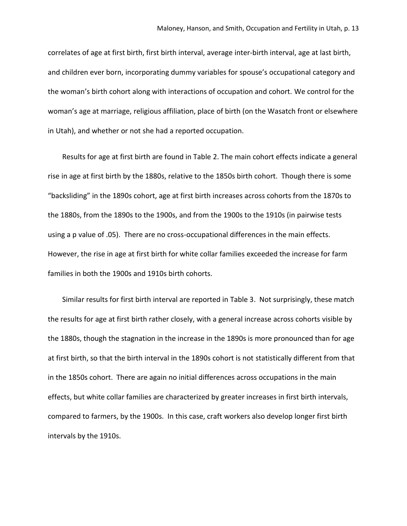correlates of age at first birth, first birth interval, average inter-birth interval, age at last birth, and children ever born, incorporating dummy variables for spouse's occupational category and the woman's birth cohort along with interactions of occupation and cohort. We control for the woman's age at marriage, religious affiliation, place of birth (on the Wasatch front or elsewhere in Utah), and whether or not she had a reported occupation.

Results for age at first birth are found in Table 2. The main cohort effects indicate a general rise in age at first birth by the 1880s, relative to the 1850s birth cohort. Though there is some "backsliding" in the 1890s cohort, age at first birth increases across cohorts from the 1870s to the 1880s, from the 1890s to the 1900s, and from the 1900s to the 1910s (in pairwise tests using a p value of .05). There are no cross-occupational differences in the main effects. However, the rise in age at first birth for white collar families exceeded the increase for farm families in both the 1900s and 1910s birth cohorts.

Similar results for first birth interval are reported in Table 3. Not surprisingly, these match the results for age at first birth rather closely, with a general increase across cohorts visible by the 1880s, though the stagnation in the increase in the 1890s is more pronounced than for age at first birth, so that the birth interval in the 1890s cohort is not statistically different from that in the 1850s cohort. There are again no initial differences across occupations in the main effects, but white collar families are characterized by greater increases in first birth intervals, compared to farmers, by the 1900s. In this case, craft workers also develop longer first birth intervals by the 1910s.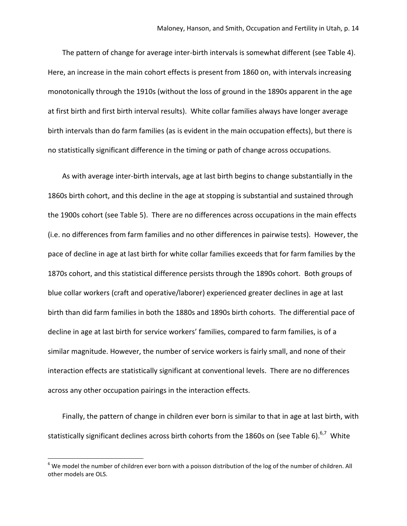The pattern of change for average inter-birth intervals is somewhat different (see Table 4). Here, an increase in the main cohort effects is present from 1860 on, with intervals increasing monotonically through the 1910s (without the loss of ground in the 1890s apparent in the age at first birth and first birth interval results). White collar families always have longer average birth intervals than do farm families (as is evident in the main occupation effects), but there is no statistically significant difference in the timing or path of change across occupations.

As with average inter-birth intervals, age at last birth begins to change substantially in the 1860s birth cohort, and this decline in the age at stopping is substantial and sustained through the 1900s cohort (see Table 5). There are no differences across occupations in the main effects (i.e. no differences from farm families and no other differences in pairwise tests). However, the pace of decline in age at last birth for white collar families exceeds that for farm families by the 1870s cohort, and this statistical difference persists through the 1890s cohort. Both groups of blue collar workers (craft and operative/laborer) experienced greater declines in age at last birth than did farm families in both the 1880s and 1890s birth cohorts. The differential pace of decline in age at last birth for service workers' families, compared to farm families, is of a similar magnitude. However, the number of service workers is fairly small, and none of their interaction effects are statistically significant at conventional levels. There are no differences across any other occupation pairings in the interaction effects.

Finally, the pattern of change in children ever born is similar to that in age at last birth, with statistically significant declines across birth cohorts from the 1860s on (see Table 6). $^{6,7}$  White

l

 $6$  We model the number of children ever born with a poisson distribution of the log of the number of children. All other models are OLS.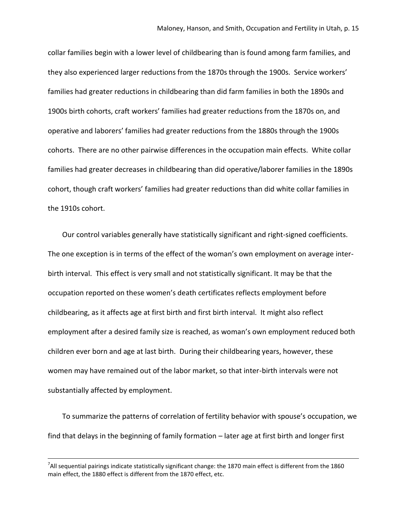collar families begin with a lower level of childbearing than is found among farm families, and they also experienced larger reductions from the 1870s through the 1900s. Service workers' families had greater reductions in childbearing than did farm families in both the 1890s and 1900s birth cohorts, craft workers' families had greater reductions from the 1870s on, and operative and laborers' families had greater reductions from the 1880s through the 1900s cohorts. There are no other pairwise differences in the occupation main effects. White collar families had greater decreases in childbearing than did operative/laborer families in the 1890s cohort, though craft workers' families had greater reductions than did white collar families in the 1910s cohort.

Our control variables generally have statistically significant and right-signed coefficients. The one exception is in terms of the effect of the woman's own employment on average interbirth interval. This effect is very small and not statistically significant. It may be that the occupation reported on these women's death certificates reflects employment before childbearing, as it affects age at first birth and first birth interval. It might also reflect employment after a desired family size is reached, as woman's own employment reduced both children ever born and age at last birth. During their childbearing years, however, these women may have remained out of the labor market, so that inter-birth intervals were not substantially affected by employment.

To summarize the patterns of correlation of fertility behavior with spouse's occupation, we find that delays in the beginning of family formation – later age at first birth and longer first

l

 $^7$ All sequential pairings indicate statistically significant change: the 1870 main effect is different from the 1860 main effect, the 1880 effect is different from the 1870 effect, etc.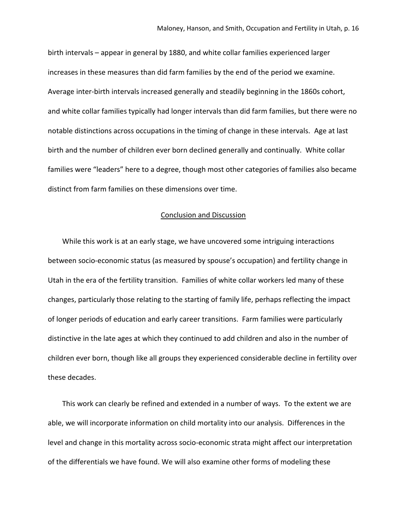birth intervals – appear in general by 1880, and white collar families experienced larger increases in these measures than did farm families by the end of the period we examine. Average inter-birth intervals increased generally and steadily beginning in the 1860s cohort, and white collar families typically had longer intervals than did farm families, but there were no notable distinctions across occupations in the timing of change in these intervals. Age at last birth and the number of children ever born declined generally and continually. White collar families were "leaders" here to a degree, though most other categories of families also became distinct from farm families on these dimensions over time.

#### Conclusion and Discussion

While this work is at an early stage, we have uncovered some intriguing interactions between socio-economic status (as measured by spouse's occupation) and fertility change in Utah in the era of the fertility transition. Families of white collar workers led many of these changes, particularly those relating to the starting of family life, perhaps reflecting the impact of longer periods of education and early career transitions. Farm families were particularly distinctive in the late ages at which they continued to add children and also in the number of children ever born, though like all groups they experienced considerable decline in fertility over these decades.

This work can clearly be refined and extended in a number of ways. To the extent we are able, we will incorporate information on child mortality into our analysis. Differences in the level and change in this mortality across socio-economic strata might affect our interpretation of the differentials we have found. We will also examine other forms of modeling these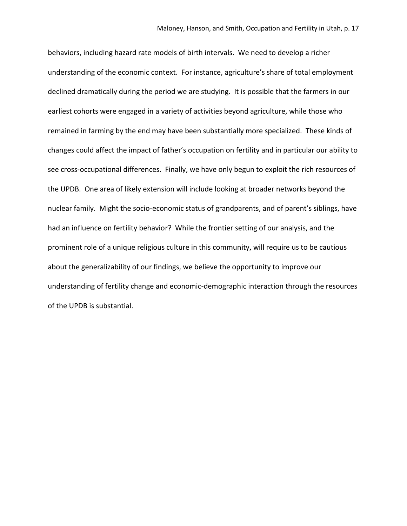behaviors, including hazard rate models of birth intervals. We need to develop a richer understanding of the economic context. For instance, agriculture's share of total employment declined dramatically during the period we are studying. It is possible that the farmers in our earliest cohorts were engaged in a variety of activities beyond agriculture, while those who remained in farming by the end may have been substantially more specialized. These kinds of changes could affect the impact of father's occupation on fertility and in particular our ability to see cross-occupational differences. Finally, we have only begun to exploit the rich resources of the UPDB. One area of likely extension will include looking at broader networks beyond the nuclear family. Might the socio-economic status of grandparents, and of parent's siblings, have had an influence on fertility behavior? While the frontier setting of our analysis, and the prominent role of a unique religious culture in this community, will require us to be cautious about the generalizability of our findings, we believe the opportunity to improve our understanding of fertility change and economic-demographic interaction through the resources of the UPDB is substantial.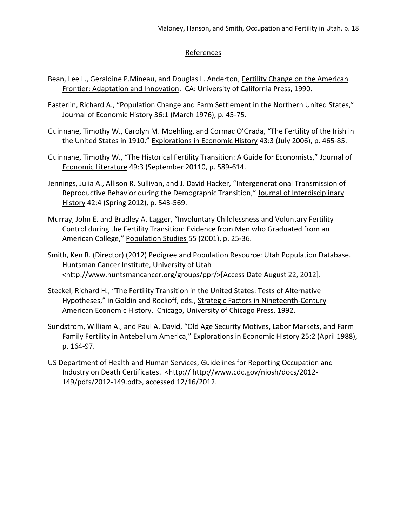### References

- Bean, Lee L., Geraldine P.Mineau, and Douglas L. Anderton, Fertility Change on the American Frontier: Adaptation and Innovation. CA: University of California Press, 1990.
- Easterlin, Richard A., "Population Change and Farm Settlement in the Northern United States," Journal of Economic History 36:1 (March 1976), p. 45-75.
- Guinnane, Timothy W., Carolyn M. Moehling, and Cormac O'Grada, "The Fertility of the Irish in the United States in 1910," Explorations in Economic History 43:3 (July 2006), p. 465-85.
- Guinnane, Timothy W., "The Historical Fertility Transition: A Guide for Economists," Journal of Economic Literature 49:3 (September 20110, p. 589-614.
- Jennings, Julia A., Allison R. Sullivan, and J. David Hacker, "Intergenerational Transmission of Reproductive Behavior during the Demographic Transition," Journal of Interdisciplinary History 42:4 (Spring 2012), p. 543-569.
- Murray, John E. and Bradley A. Lagger, "Involuntary Childlessness and Voluntary Fertility Control during the Fertility Transition: Evidence from Men who Graduated from an American College," Population Studies 55 (2001), p. 25-36.
- Smith, Ken R. (Director) (2012) Pedigree and Population Resource: Utah Population Database. Huntsman Cancer Institute, University of Utah <http://www.huntsmancancer.org/groups/ppr/>[Access Date August 22, 2012].
- Steckel, Richard H., "The Fertility Transition in the United States: Tests of Alternative Hypotheses," in Goldin and Rockoff, eds., Strategic Factors in Nineteenth-Century American Economic History. Chicago, University of Chicago Press, 1992.
- Sundstrom, William A., and Paul A. David, "Old Age Security Motives, Labor Markets, and Farm Family Fertility in Antebellum America," Explorations in Economic History 25:2 (April 1988), p. 164-97.
- US Department of Health and Human Services, Guidelines for Reporting Occupation and Industry on Death Certificates. <http:// http://www.cdc.gov/niosh/docs/2012- 149/pdfs/2012-149.pdf>, accessed 12/16/2012.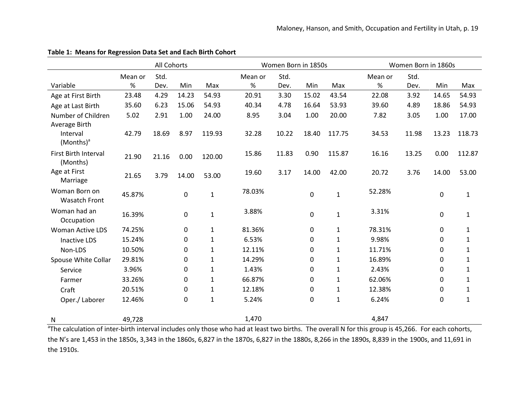|                          | All Cohorts |       |             |              | Women Born in 1850s |       |             |              | Women Born in 1860s |       |       |              |
|--------------------------|-------------|-------|-------------|--------------|---------------------|-------|-------------|--------------|---------------------|-------|-------|--------------|
|                          | Mean or     | Std.  |             |              | Mean or             | Std.  |             |              | Mean or             | Std.  |       |              |
| Variable                 | $\%$        | Dev.  | Min         | Max          | $\%$                | Dev.  | Min         | Max          | $\%$                | Dev.  | Min   | Max          |
| Age at First Birth       | 23.48       | 4.29  | 14.23       | 54.93        | 20.91               | 3.30  | 15.02       | 43.54        | 22.08               | 3.92  | 14.65 | 54.93        |
| Age at Last Birth        | 35.60       | 6.23  | 15.06       | 54.93        | 40.34               | 4.78  | 16.64       | 53.93        | 39.60               | 4.89  | 18.86 | 54.93        |
| Number of Children       | 5.02        | 2.91  | 1.00        | 24.00        | 8.95                | 3.04  | 1.00        | 20.00        | 7.82                | 3.05  | 1.00  | 17.00        |
| Average Birth            |             |       |             |              |                     |       |             |              |                     |       |       |              |
| Interval                 | 42.79       | 18.69 | 8.97        | 119.93       | 32.28               | 10.22 | 18.40       | 117.75       | 34.53               | 11.98 | 13.23 | 118.73       |
| $(Months)^a$             |             |       |             |              |                     |       |             |              |                     |       |       |              |
| First Birth Interval     | 21.90       | 21.16 | 0.00        | 120.00       | 15.86               | 11.83 | 0.90        | 115.87       | 16.16               | 13.25 | 0.00  | 112.87       |
| (Months)                 |             |       |             |              |                     |       |             |              |                     |       |       |              |
| Age at First<br>Marriage | 21.65       | 3.79  | 14.00       | 53.00        | 19.60               | 3.17  | 14.00       | 42.00        | 20.72               | 3.76  | 14.00 | 53.00        |
| Woman Born on            |             |       |             |              |                     |       |             |              |                     |       |       |              |
| <b>Wasatch Front</b>     | 45.87%      |       | $\mathbf 0$ | $\mathbf 1$  | 78.03%              |       | $\pmb{0}$   | $\mathbf{1}$ | 52.28%              |       | 0     | $\mathbf{1}$ |
| Woman had an             |             |       |             |              |                     |       |             |              |                     |       |       |              |
| Occupation               | 16.39%      |       | 0           | $\mathbf{1}$ | 3.88%               |       | $\pmb{0}$   | $\mathbf 1$  | 3.31%               |       | 0     | $\mathbf 1$  |
| <b>Woman Active LDS</b>  | 74.25%      |       | 0           | $\mathbf{1}$ | 81.36%              |       | 0           | 1            | 78.31%              |       | 0     | $\mathbf{1}$ |
| <b>Inactive LDS</b>      | 15.24%      |       | 0           | $\mathbf{1}$ | 6.53%               |       | 0           | 1            | 9.98%               |       | 0     | 1            |
| Non-LDS                  | 10.50%      |       | 0           | $\mathbf{1}$ | 12.11%              |       | 0           | 1            | 11.71%              |       | 0     | $\mathbf{1}$ |
| Spouse White Collar      | 29.81%      |       | 0           | $\mathbf{1}$ | 14.29%              |       | 0           | 1            | 16.89%              |       | 0     | 1            |
| Service                  | 3.96%       |       | 0           | $\mathbf{1}$ | 1.43%               |       | 0           | 1            | 2.43%               |       | 0     | 1            |
| Farmer                   | 33.26%      |       | 0           | $\mathbf{1}$ | 66.87%              |       | 0           | 1            | 62.06%              |       | 0     | $\mathbf{1}$ |
| Craft                    | 20.51%      |       | 0           | $\mathbf{1}$ | 12.18%              |       | 0           | 1            | 12.38%              |       | 0     | 1            |
| Oper./ Laborer           | 12.46%      |       | 0           | $\mathbf{1}$ | 5.24%               |       | $\mathbf 0$ | $\mathbf 1$  | 6.24%               |       | 0     | $\mathbf{1}$ |
| N                        | 49,728      |       |             |              | 1,470               |       |             |              | 4,847               |       |       |              |

### **Table 1: Means for Regression Data Set and Each Birth Cohort**

<sup>a</sup>The calculation of inter-birth interval includes only those who had at least two births. The overall N for this group is 45,266. For each cohorts, the N's are 1,453 in the 1850s, 3,343 in the 1860s, 6,827 in the 1870s, 6,827 in the 1880s, 8,266 in the 1890s, 8,839 in the 1900s, and 11,691 in the 1910s.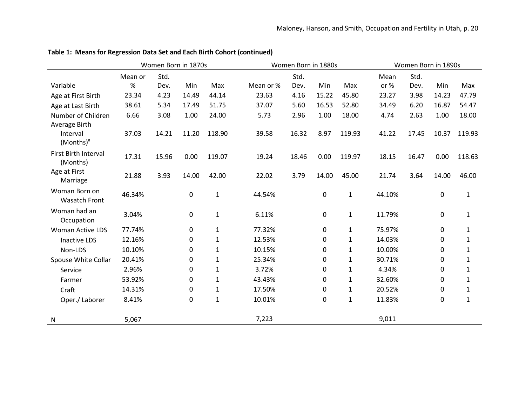|                                       |         | Women Born in 1870s |          |              |           | Women Born in 1880s |             |              |        | Women Born in 1890s |       |              |  |
|---------------------------------------|---------|---------------------|----------|--------------|-----------|---------------------|-------------|--------------|--------|---------------------|-------|--------------|--|
|                                       | Mean or | Std.                |          |              |           | Std.                |             |              | Mean   | Std.                |       |              |  |
| Variable                              | %       | Dev.                | Min      | Max          | Mean or % | Dev.                | Min         | Max          | or $%$ | Dev.                | Min   | Max          |  |
| Age at First Birth                    | 23.34   | 4.23                | 14.49    | 44.14        | 23.63     | 4.16                | 15.22       | 45.80        | 23.27  | 3.98                | 14.23 | 47.79        |  |
| Age at Last Birth                     | 38.61   | 5.34                | 17.49    | 51.75        | 37.07     | 5.60                | 16.53       | 52.80        | 34.49  | 6.20                | 16.87 | 54.47        |  |
| Number of Children<br>Average Birth   | 6.66    | 3.08                | 1.00     | 24.00        | 5.73      | 2.96                | 1.00        | 18.00        | 4.74   | 2.63                | 1.00  | 18.00        |  |
| Interval<br>$(Months)^a$              | 37.03   | 14.21               | 11.20    | 118.90       | 39.58     | 16.32               | 8.97        | 119.93       | 41.22  | 17.45               | 10.37 | 119.93       |  |
| First Birth Interval<br>(Months)      | 17.31   | 15.96               | 0.00     | 119.07       | 19.24     | 18.46               | 0.00        | 119.97       | 18.15  | 16.47               | 0.00  | 118.63       |  |
| Age at First<br>Marriage              | 21.88   | 3.93                | 14.00    | 42.00        | 22.02     | 3.79                | 14.00       | 45.00        | 21.74  | 3.64                | 14.00 | 46.00        |  |
| Woman Born on<br><b>Wasatch Front</b> | 46.34%  |                     | 0        | $\mathbf{1}$ | 44.54%    |                     | 0           | $\mathbf{1}$ | 44.10% |                     | 0     | $\mathbf{1}$ |  |
| Woman had an<br>Occupation            | 3.04%   |                     | 0        | $\mathbf{1}$ | 6.11%     |                     | $\mathbf 0$ | $\mathbf{1}$ | 11.79% |                     | 0     | $\mathbf{1}$ |  |
| <b>Woman Active LDS</b>               | 77.74%  |                     | 0        | $\mathbf{1}$ | 77.32%    |                     | $\mathbf 0$ | 1            | 75.97% |                     | 0     | $\mathbf{1}$ |  |
| <b>Inactive LDS</b>                   | 12.16%  |                     | 0        | $\mathbf{1}$ | 12.53%    |                     | 0           | $\mathbf{1}$ | 14.03% |                     | 0     | $\mathbf{1}$ |  |
| Non-LDS                               | 10.10%  |                     | 0        | $\mathbf{1}$ | 10.15%    |                     | 0           | $\mathbf{1}$ | 10.00% |                     | 0     | 1            |  |
| Spouse White Collar                   | 20.41%  |                     | $\Omega$ | $\mathbf{1}$ | 25.34%    |                     | $\mathbf 0$ | $\mathbf{1}$ | 30.71% |                     | 0     | $\mathbf{1}$ |  |
| Service                               | 2.96%   |                     | 0        | $\mathbf{1}$ | 3.72%     |                     | 0           | 1            | 4.34%  |                     | 0     | 1            |  |
| Farmer                                | 53.92%  |                     | 0        | $\mathbf 1$  | 43.43%    |                     | 0           | $\mathbf{1}$ | 32.60% |                     | 0     | $\mathbf{1}$ |  |
| Craft                                 | 14.31%  |                     | 0        | $\mathbf{1}$ | 17.50%    |                     | 0           | $\mathbf{1}$ | 20.52% |                     | 0     | $\mathbf{1}$ |  |
| Oper./Laborer                         | 8.41%   |                     | 0        | $\mathbf 1$  | 10.01%    |                     | $\mathbf 0$ | $\mathbf{1}$ | 11.83% |                     | 0     | $\mathbf{1}$ |  |
| N                                     | 5,067   |                     |          |              | 7,223     |                     |             |              | 9,011  |                     |       |              |  |

**Table 1: Means for Regression Data Set and Each Birth Cohort (continued)**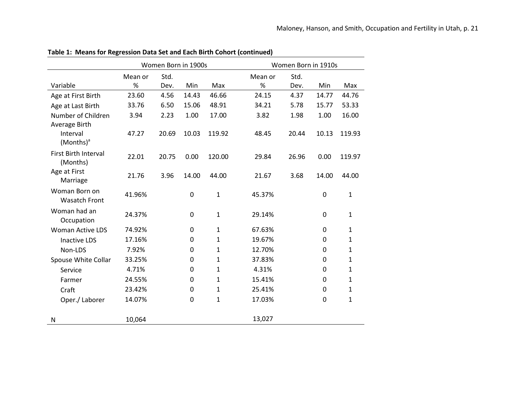|                                                    |         | Women Born in 1900s |             |              |         | Women Born in 1910s |           |              |  |  |
|----------------------------------------------------|---------|---------------------|-------------|--------------|---------|---------------------|-----------|--------------|--|--|
|                                                    | Mean or | Std.                |             |              | Mean or | Std.                |           |              |  |  |
| Variable                                           | $\%$    | Dev.                | Min         | Max          | $\%$    | Dev.                | Min       | Max          |  |  |
| Age at First Birth                                 | 23.60   | 4.56                | 14.43       | 46.66        | 24.15   | 4.37                | 14.77     | 44.76        |  |  |
| Age at Last Birth                                  | 33.76   | 6.50                | 15.06       | 48.91        | 34.21   | 5.78                | 15.77     | 53.33        |  |  |
| Number of Children                                 | 3.94    | 2.23                | 1.00        | 17.00        | 3.82    | 1.98                | 1.00      | 16.00        |  |  |
| Average Birth<br>Interval<br>(Months) <sup>a</sup> | 47.27   | 20.69               | 10.03       | 119.92       | 48.45   | 20.44               | 10.13     | 119.93       |  |  |
| First Birth Interval<br>(Months)                   | 22.01   | 20.75               | 0.00        | 120.00       | 29.84   | 26.96               | 0.00      | 119.97       |  |  |
| Age at First<br>Marriage                           | 21.76   | 3.96                | 14.00       | 44.00        | 21.67   | 3.68                | 14.00     | 44.00        |  |  |
| Woman Born on<br><b>Wasatch Front</b>              | 41.96%  |                     | 0           | 1            | 45.37%  |                     | 0         | $\mathbf{1}$ |  |  |
| Woman had an<br>Occupation                         | 24.37%  |                     | $\mathbf 0$ | $\mathbf{1}$ | 29.14%  |                     | 0         | $\mathbf{1}$ |  |  |
| <b>Woman Active LDS</b>                            | 74.92%  |                     | $\mathbf 0$ | $\mathbf{1}$ | 67.63%  |                     | $\pmb{0}$ | $\mathbf{1}$ |  |  |
| <b>Inactive LDS</b>                                | 17.16%  |                     | $\Omega$    | $\mathbf{1}$ | 19.67%  |                     | 0         | $\mathbf{1}$ |  |  |
| Non-LDS                                            | 7.92%   |                     | 0           | 1            | 12.70%  |                     | $\Omega$  | 1            |  |  |
| Spouse White Collar                                | 33.25%  |                     | 0           | $\mathbf{1}$ | 37.83%  |                     | 0         | $\mathbf{1}$ |  |  |
| Service                                            | 4.71%   |                     | 0           | $\mathbf{1}$ | 4.31%   |                     | $\Omega$  | 1            |  |  |
| Farmer                                             | 24.55%  |                     | 0           | 1            | 15.41%  |                     | 0         | $\mathbf{1}$ |  |  |
| Craft                                              | 23.42%  |                     | 0           | $\mathbf{1}$ | 25.41%  |                     | 0         | $\mathbf{1}$ |  |  |
| Oper./ Laborer                                     | 14.07%  |                     | $\mathbf 0$ | 1            | 17.03%  |                     | 0         | $\mathbf{1}$ |  |  |
| N                                                  | 10,064  |                     |             |              | 13,027  |                     |           |              |  |  |

**Table 1: Means for Regression Data Set and Each Birth Cohort (continued)**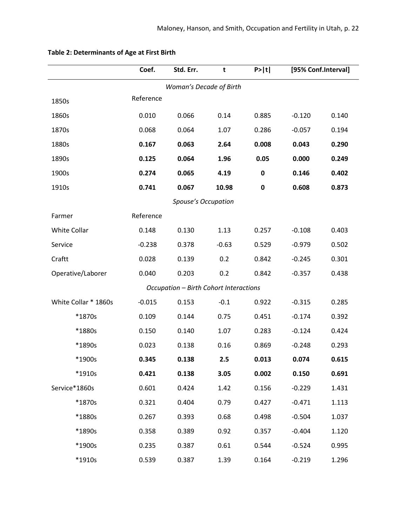|                      | Coef.     | Std. Err.                              | t       | P >  t      | [95% Conf.Interval] |       |
|----------------------|-----------|----------------------------------------|---------|-------------|---------------------|-------|
|                      |           | Woman's Decade of Birth                |         |             |                     |       |
| 1850s                | Reference |                                        |         |             |                     |       |
| 1860s                | 0.010     | 0.066                                  | 0.14    | 0.885       | $-0.120$            | 0.140 |
| 1870s                | 0.068     | 0.064                                  | 1.07    | 0.286       | $-0.057$            | 0.194 |
| 1880s                | 0.167     | 0.063                                  | 2.64    | 0.008       | 0.043               | 0.290 |
| 1890s                | 0.125     | 0.064                                  | 1.96    | 0.05        | 0.000               | 0.249 |
| 1900s                | 0.274     | 0.065                                  | 4.19    | $\pmb{0}$   | 0.146               | 0.402 |
| 1910s                | 0.741     | 0.067                                  | 10.98   | $\mathbf 0$ | 0.608               | 0.873 |
|                      |           | Spouse's Occupation                    |         |             |                     |       |
| Farmer               | Reference |                                        |         |             |                     |       |
| <b>White Collar</b>  | 0.148     | 0.130                                  | 1.13    | 0.257       | $-0.108$            | 0.403 |
| Service              | $-0.238$  | 0.378                                  | $-0.63$ | 0.529       | $-0.979$            | 0.502 |
| Craftt               | 0.028     | 0.139                                  | 0.2     | 0.842       | $-0.245$            | 0.301 |
| Operative/Laborer    | 0.040     | 0.203                                  | 0.2     | 0.842       | $-0.357$            | 0.438 |
|                      |           | Occupation - Birth Cohort Interactions |         |             |                     |       |
| White Collar * 1860s | $-0.015$  | 0.153                                  | $-0.1$  | 0.922       | $-0.315$            | 0.285 |
| *1870s               | 0.109     | 0.144                                  | 0.75    | 0.451       | $-0.174$            | 0.392 |
| *1880s               | 0.150     | 0.140                                  | 1.07    | 0.283       | $-0.124$            | 0.424 |
| *1890s               | 0.023     | 0.138                                  | 0.16    | 0.869       | $-0.248$            | 0.293 |
| *1900s               | 0.345     | 0.138                                  | 2.5     | 0.013       | 0.074               | 0.615 |
| *1910s               | 0.421     | 0.138                                  | 3.05    | 0.002       | 0.150               | 0.691 |
| Service*1860s        | 0.601     | 0.424                                  | 1.42    | 0.156       | $-0.229$            | 1.431 |
| *1870s               | 0.321     | 0.404                                  | 0.79    | 0.427       | $-0.471$            | 1.113 |
| *1880s               | 0.267     | 0.393                                  | 0.68    | 0.498       | $-0.504$            | 1.037 |
| *1890s               | 0.358     | 0.389                                  | 0.92    | 0.357       | $-0.404$            | 1.120 |
| *1900s               | 0.235     | 0.387                                  | 0.61    | 0.544       | $-0.524$            | 0.995 |
| *1910s               | 0.539     | 0.387                                  | 1.39    | 0.164       | $-0.219$            | 1.296 |

# **Table 2: Determinants of Age at First Birth**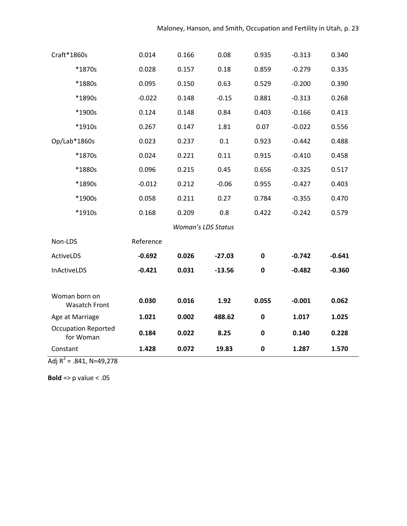| Craft*1860s                             | 0.014     | 0.166                     | 0.08     | 0.935       | $-0.313$ | 0.340    |
|-----------------------------------------|-----------|---------------------------|----------|-------------|----------|----------|
| *1870s                                  | 0.028     | 0.157                     | 0.18     | 0.859       | $-0.279$ | 0.335    |
| *1880s                                  | 0.095     | 0.150                     | 0.63     | 0.529       | $-0.200$ | 0.390    |
| *1890s                                  | $-0.022$  | 0.148                     | $-0.15$  | 0.881       | $-0.313$ | 0.268    |
| *1900s                                  | 0.124     | 0.148                     | 0.84     | 0.403       | $-0.166$ | 0.413    |
| *1910s                                  | 0.267     | 0.147                     | 1.81     | 0.07        | $-0.022$ | 0.556    |
| Op/Lab*1860s                            | 0.023     | 0.237                     | $0.1\,$  | 0.923       | $-0.442$ | 0.488    |
| *1870s                                  | 0.024     | 0.221                     | 0.11     | 0.915       | $-0.410$ | 0.458    |
| *1880s                                  | 0.096     | 0.215                     | 0.45     | 0.656       | $-0.325$ | 0.517    |
| *1890s                                  | $-0.012$  | 0.212                     | $-0.06$  | 0.955       | $-0.427$ | 0.403    |
| *1900s                                  | 0.058     | 0.211                     | 0.27     | 0.784       | $-0.355$ | 0.470    |
| *1910s                                  | 0.168     | 0.209                     | 0.8      | 0.422       | $-0.242$ | 0.579    |
|                                         |           | <b>Woman's LDS Status</b> |          |             |          |          |
| Non-LDS                                 | Reference |                           |          |             |          |          |
| ActiveLDS                               | $-0.692$  | 0.026                     | $-27.03$ | $\mathbf 0$ | $-0.742$ | $-0.641$ |
| InActiveLDS                             | $-0.421$  | 0.031                     | $-13.56$ | $\pmb{0}$   | $-0.482$ | $-0.360$ |
| Woman born on<br><b>Wasatch Front</b>   | 0.030     | 0.016                     | 1.92     | 0.055       | $-0.001$ | 0.062    |
| Age at Marriage                         | 1.021     | 0.002                     | 488.62   | $\pmb{0}$   | 1.017    | 1.025    |
| <b>Occupation Reported</b><br>for Woman | 0.184     | 0.022                     | 8.25     | $\mathbf 0$ | 0.140    | 0.228    |
| Constant                                | 1.428     | 0.072                     | 19.83    | $\mathbf 0$ | 1.287    | 1.570    |

Adj R<sup>2</sup> = .841, N=49,278

**Bold** => p value < .05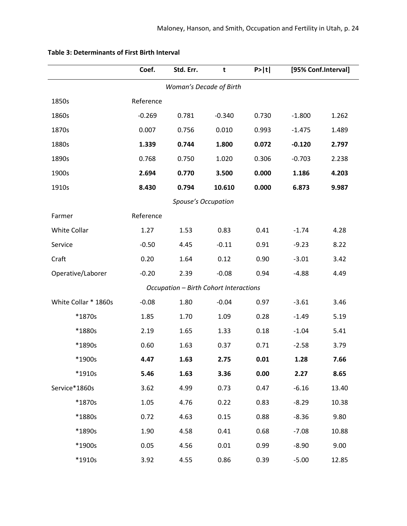|                      | Coef.     | Std. Err.                              | t        | P >  t |          | [95% Conf.Interval] |
|----------------------|-----------|----------------------------------------|----------|--------|----------|---------------------|
|                      |           | Woman's Decade of Birth                |          |        |          |                     |
| 1850s                | Reference |                                        |          |        |          |                     |
| 1860s                | $-0.269$  | 0.781                                  | $-0.340$ | 0.730  | $-1.800$ | 1.262               |
| 1870s                | 0.007     | 0.756                                  | 0.010    | 0.993  | $-1.475$ | 1.489               |
| 1880s                | 1.339     | 0.744                                  | 1.800    | 0.072  | $-0.120$ | 2.797               |
| 1890s                | 0.768     | 0.750                                  | 1.020    | 0.306  | $-0.703$ | 2.238               |
| 1900s                | 2.694     | 0.770                                  | 3.500    | 0.000  | 1.186    | 4.203               |
| 1910s                | 8.430     | 0.794                                  | 10.610   | 0.000  | 6.873    | 9.987               |
|                      |           | <b>Spouse's Occupation</b>             |          |        |          |                     |
| Farmer               | Reference |                                        |          |        |          |                     |
| White Collar         | 1.27      | 1.53                                   | 0.83     | 0.41   | $-1.74$  | 4.28                |
| Service              | $-0.50$   | 4.45                                   | $-0.11$  | 0.91   | $-9.23$  | 8.22                |
| Craft                | 0.20      | 1.64                                   | 0.12     | 0.90   | $-3.01$  | 3.42                |
| Operative/Laborer    | $-0.20$   | 2.39                                   | $-0.08$  | 0.94   | $-4.88$  | 4.49                |
|                      |           | Occupation - Birth Cohort Interactions |          |        |          |                     |
| White Collar * 1860s | $-0.08$   | 1.80                                   | $-0.04$  | 0.97   | $-3.61$  | 3.46                |
| *1870s               | 1.85      | 1.70                                   | 1.09     | 0.28   | $-1.49$  | 5.19                |
| *1880s               | 2.19      | 1.65                                   | 1.33     | 0.18   | $-1.04$  | 5.41                |
| *1890s               | 0.60      | 1.63                                   | 0.37     | 0.71   | $-2.58$  | 3.79                |
| *1900s               | 4.47      | 1.63                                   | 2.75     | 0.01   | 1.28     | 7.66                |
| *1910s               | 5.46      | 1.63                                   | 3.36     | 0.00   | 2.27     | 8.65                |
| Service*1860s        | 3.62      | 4.99                                   | 0.73     | 0.47   | $-6.16$  | 13.40               |
| *1870s               | 1.05      | 4.76                                   | 0.22     | 0.83   | $-8.29$  | 10.38               |
| *1880s               | 0.72      | 4.63                                   | 0.15     | 0.88   | $-8.36$  | 9.80                |
| *1890s               | 1.90      | 4.58                                   | 0.41     | 0.68   | $-7.08$  | 10.88               |
| *1900s               | 0.05      | 4.56                                   | 0.01     | 0.99   | $-8.90$  | 9.00                |
| *1910s               | 3.92      | 4.55                                   | 0.86     | 0.39   | $-5.00$  | 12.85               |

## **Table 3: Determinants of First Birth Interval**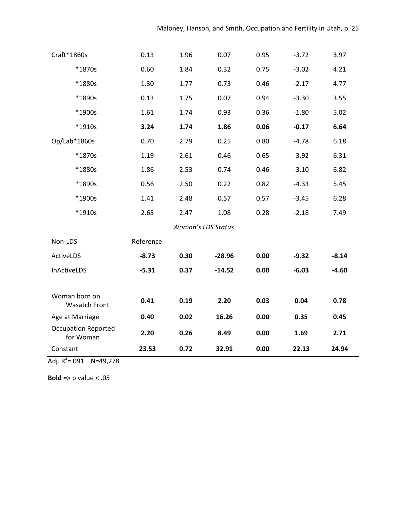| Craft*1860s                             | 0.13      | 1.96 | 0.07                      | 0.95 | $-3.72$ | 3.97    |
|-----------------------------------------|-----------|------|---------------------------|------|---------|---------|
| *1870s                                  | 0.60      | 1.84 | 0.32                      | 0.75 | $-3.02$ | 4.21    |
| *1880s                                  | 1.30      | 1.77 | 0.73                      | 0.46 | $-2.17$ | 4.77    |
| *1890s                                  | 0.13      | 1.75 | 0.07                      | 0.94 | $-3.30$ | 3.55    |
| *1900s                                  | 1.61      | 1.74 | 0.93                      | 0.36 | $-1.80$ | 5.02    |
| *1910s                                  | 3.24      | 1.74 | 1.86                      | 0.06 | $-0.17$ | 6.64    |
| Op/Lab*1860s                            | 0.70      | 2.79 | 0.25                      | 0.80 | $-4.78$ | 6.18    |
| *1870s                                  | 1.19      | 2.61 | 0.46                      | 0.65 | $-3.92$ | 6.31    |
| *1880s                                  | 1.86      | 2.53 | 0.74                      | 0.46 | $-3.10$ | 6.82    |
| *1890s                                  | 0.56      | 2.50 | 0.22                      | 0.82 | $-4.33$ | 5.45    |
| *1900s                                  | 1.41      | 2.48 | 0.57                      | 0.57 | $-3.45$ | 6.28    |
| *1910s                                  | 2.65      | 2.47 | 1.08                      | 0.28 | $-2.18$ | 7.49    |
|                                         |           |      | <b>Woman's LDS Status</b> |      |         |         |
| Non-LDS                                 | Reference |      |                           |      |         |         |
| ActiveLDS                               | $-8.73$   | 0.30 | $-28.96$                  | 0.00 | $-9.32$ | $-8.14$ |
| <b>InActiveLDS</b>                      | $-5.31$   | 0.37 | $-14.52$                  | 0.00 | $-6.03$ | $-4.60$ |
|                                         |           |      |                           |      |         |         |
| Woman born on<br><b>Wasatch Front</b>   | 0.41      | 0.19 | 2.20                      | 0.03 | 0.04    | 0.78    |
| Age at Marriage                         | 0.40      | 0.02 | 16.26                     | 0.00 | 0.35    | 0.45    |
| <b>Occupation Reported</b><br>for Woman | 2.20      | 0.26 | 8.49                      | 0.00 | 1.69    | 2.71    |
| Constant                                | 23.53     | 0.72 | 32.91                     | 0.00 | 22.13   | 24.94   |

Adj.  $R^2$ =.091 N=49,278

**Bold** => p value < .05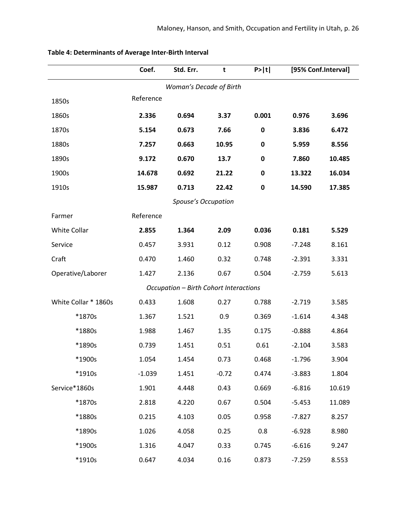|                      | Coef.     | Std. Err.                              | t       | P >  t      | [95% Conf.Interval] |        |
|----------------------|-----------|----------------------------------------|---------|-------------|---------------------|--------|
|                      |           | Woman's Decade of Birth                |         |             |                     |        |
| 1850s                | Reference |                                        |         |             |                     |        |
| 1860s                | 2.336     | 0.694                                  | 3.37    | 0.001       | 0.976               | 3.696  |
| 1870s                | 5.154     | 0.673                                  | 7.66    | $\bf{0}$    | 3.836               | 6.472  |
| 1880s                | 7.257     | 0.663                                  | 10.95   | $\mathbf 0$ | 5.959               | 8.556  |
| 1890s                | 9.172     | 0.670                                  | 13.7    | $\mathbf 0$ | 7.860               | 10.485 |
| 1900s                | 14.678    | 0.692                                  | 21.22   | $\mathbf 0$ | 13.322              | 16.034 |
| 1910s                | 15.987    | 0.713                                  | 22.42   | $\mathbf 0$ | 14.590              | 17.385 |
|                      |           | <b>Spouse's Occupation</b>             |         |             |                     |        |
| Farmer               | Reference |                                        |         |             |                     |        |
| White Collar         | 2.855     | 1.364                                  | 2.09    | 0.036       | 0.181               | 5.529  |
| Service              | 0.457     | 3.931                                  | 0.12    | 0.908       | $-7.248$            | 8.161  |
| Craft                | 0.470     | 1.460                                  | 0.32    | 0.748       | $-2.391$            | 3.331  |
| Operative/Laborer    | 1.427     | 2.136                                  | 0.67    | 0.504       | $-2.759$            | 5.613  |
|                      |           | Occupation - Birth Cohort Interactions |         |             |                     |        |
| White Collar * 1860s | 0.433     | 1.608                                  | 0.27    | 0.788       | $-2.719$            | 3.585  |
| *1870s               | 1.367     | 1.521                                  | 0.9     | 0.369       | $-1.614$            | 4.348  |
| *1880s               | 1.988     | 1.467                                  | 1.35    | 0.175       | $-0.888$            | 4.864  |
| *1890s               | 0.739     | 1.451                                  | 0.51    | 0.61        | $-2.104$            | 3.583  |
| *1900s               | 1.054     | 1.454                                  | 0.73    | 0.468       | $-1.796$            | 3.904  |
| *1910s               | $-1.039$  | 1.451                                  | $-0.72$ | 0.474       | $-3.883$            | 1.804  |
| Service*1860s        | 1.901     | 4.448                                  | 0.43    | 0.669       | $-6.816$            | 10.619 |
| *1870s               | 2.818     | 4.220                                  | 0.67    | 0.504       | $-5.453$            | 11.089 |
| *1880s               | 0.215     | 4.103                                  | 0.05    | 0.958       | $-7.827$            | 8.257  |
| *1890s               | 1.026     | 4.058                                  | 0.25    | 0.8         | $-6.928$            | 8.980  |
| *1900s               | 1.316     | 4.047                                  | 0.33    | 0.745       | $-6.616$            | 9.247  |
| *1910s               | 0.647     | 4.034                                  | 0.16    | 0.873       | $-7.259$            | 8.553  |

# **Table 4: Determinants of Average Inter-Birth Interval**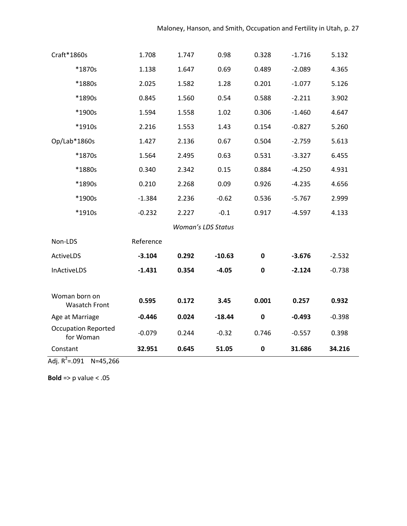| Craft*1860s                             | 1.708     | 1.747                     | 0.98     | 0.328       | $-1.716$ | 5.132    |
|-----------------------------------------|-----------|---------------------------|----------|-------------|----------|----------|
| *1870s                                  | 1.138     | 1.647                     | 0.69     | 0.489       | $-2.089$ | 4.365    |
| *1880s                                  | 2.025     | 1.582                     | 1.28     | 0.201       | $-1.077$ | 5.126    |
| *1890s                                  | 0.845     | 1.560                     | 0.54     | 0.588       | $-2.211$ | 3.902    |
| *1900s                                  | 1.594     | 1.558                     | 1.02     | 0.306       | $-1.460$ | 4.647    |
| *1910s                                  | 2.216     | 1.553                     | 1.43     | 0.154       | $-0.827$ | 5.260    |
| Op/Lab*1860s                            | 1.427     | 2.136                     | 0.67     | 0.504       | $-2.759$ | 5.613    |
| *1870s                                  | 1.564     | 2.495                     | 0.63     | 0.531       | $-3.327$ | 6.455    |
| *1880s                                  | 0.340     | 2.342                     | 0.15     | 0.884       | $-4.250$ | 4.931    |
| *1890s                                  | 0.210     | 2.268                     | 0.09     | 0.926       | $-4.235$ | 4.656    |
| *1900s                                  | $-1.384$  | 2.236                     | $-0.62$  | 0.536       | $-5.767$ | 2.999    |
| *1910s                                  | $-0.232$  | 2.227                     | $-0.1$   | 0.917       | $-4.597$ | 4.133    |
|                                         |           | <b>Woman's LDS Status</b> |          |             |          |          |
| Non-LDS                                 | Reference |                           |          |             |          |          |
| ActiveLDS                               | $-3.104$  | 0.292                     | $-10.63$ | $\mathbf 0$ | $-3.676$ | $-2.532$ |
| <b>InActiveLDS</b>                      | $-1.431$  | 0.354                     | $-4.05$  | $\mathbf 0$ | $-2.124$ | $-0.738$ |
|                                         |           |                           |          |             |          |          |
| Woman born on<br><b>Wasatch Front</b>   | 0.595     | 0.172                     | 3.45     | 0.001       | 0.257    | 0.932    |
| Age at Marriage                         | $-0.446$  | 0.024                     | $-18.44$ | $\pmb{0}$   | $-0.493$ | $-0.398$ |
| <b>Occupation Reported</b><br>for Woman | $-0.079$  | 0.244                     | $-0.32$  | 0.746       | $-0.557$ | 0.398    |
| Constant                                | 32.951    | 0.645                     | 51.05    | $\bf{0}$    | 31.686   | 34.216   |

Adj.  $R^2 = .091$  N=45,266

**Bold** => p value < .05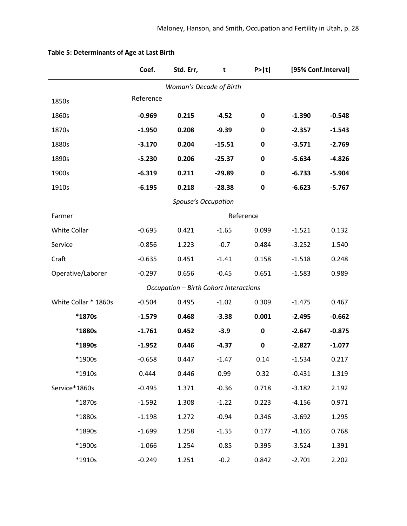|                      | Coef.     | Std. Err,                              | t        | P >  t      |          | [95% Conf.Interval] |
|----------------------|-----------|----------------------------------------|----------|-------------|----------|---------------------|
|                      |           | Woman's Decade of Birth                |          |             |          |                     |
| 1850s                | Reference |                                        |          |             |          |                     |
| 1860s                | $-0.969$  | 0.215                                  | $-4.52$  | $\mathbf 0$ | $-1.390$ | $-0.548$            |
| 1870s                | $-1.950$  | 0.208                                  | $-9.39$  | $\bf{0}$    | $-2.357$ | $-1.543$            |
| 1880s                | $-3.170$  | 0.204                                  | $-15.51$ | $\mathbf 0$ | $-3.571$ | $-2.769$            |
| 1890s                | $-5.230$  | 0.206                                  | $-25.37$ | $\mathbf 0$ | $-5.634$ | $-4.826$            |
| 1900s                | $-6.319$  | 0.211                                  | $-29.89$ | $\mathbf 0$ | $-6.733$ | $-5.904$            |
| 1910s                | $-6.195$  | 0.218                                  | $-28.38$ | $\mathbf 0$ | $-6.623$ | $-5.767$            |
|                      |           | Spouse's Occupation                    |          |             |          |                     |
| Farmer               |           |                                        |          | Reference   |          |                     |
| White Collar         | $-0.695$  | 0.421                                  | $-1.65$  | 0.099       | $-1.521$ | 0.132               |
| Service              | $-0.856$  | 1.223                                  | $-0.7$   | 0.484       | $-3.252$ | 1.540               |
| Craft                | $-0.635$  | 0.451                                  | $-1.41$  | 0.158       | $-1.518$ | 0.248               |
| Operative/Laborer    | $-0.297$  | 0.656                                  | $-0.45$  | 0.651       | $-1.583$ | 0.989               |
|                      |           | Occupation - Birth Cohort Interactions |          |             |          |                     |
| White Collar * 1860s | $-0.504$  | 0.495                                  | $-1.02$  | 0.309       | $-1.475$ | 0.467               |
| *1870s               | $-1.579$  | 0.468                                  | $-3.38$  | 0.001       | $-2.495$ | $-0.662$            |
| *1880s               | $-1.761$  | 0.452                                  | $-3.9$   | $\pmb{0}$   | $-2.647$ | $-0.875$            |
| *1890s               | $-1.952$  | 0.446                                  | $-4.37$  | $\bf{0}$    | $-2.827$ | $-1.077$            |
| *1900s               | $-0.658$  | 0.447                                  | $-1.47$  | 0.14        | $-1.534$ | 0.217               |
| *1910s               | 0.444     | 0.446                                  | 0.99     | 0.32        | $-0.431$ | 1.319               |
| Service*1860s        | $-0.495$  | 1.371                                  | $-0.36$  | 0.718       | $-3.182$ | 2.192               |
| *1870s               | $-1.592$  | 1.308                                  | $-1.22$  | 0.223       | $-4.156$ | 0.971               |
| *1880s               | $-1.198$  | 1.272                                  | $-0.94$  | 0.346       | $-3.692$ | 1.295               |
| *1890s               | $-1.699$  | 1.258                                  | $-1.35$  | 0.177       | $-4.165$ | 0.768               |
| *1900s               | $-1.066$  | 1.254                                  | $-0.85$  | 0.395       | $-3.524$ | 1.391               |
| *1910s               | $-0.249$  | 1.251                                  | $-0.2$   | 0.842       | $-2.701$ | 2.202               |

# **Table 5: Determinants of Age at Last Birth**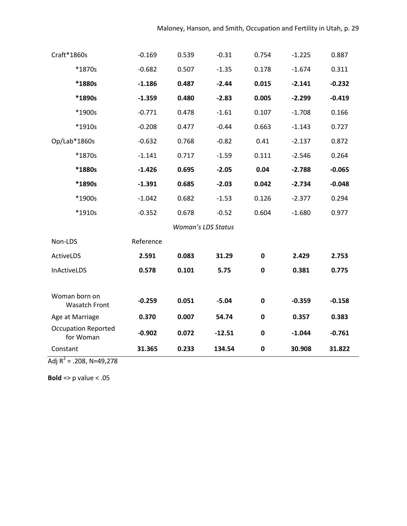| Craft*1860s                             | $-0.169$  | 0.539                     | $-0.31$  | 0.754       | $-1.225$ | 0.887    |
|-----------------------------------------|-----------|---------------------------|----------|-------------|----------|----------|
| *1870s                                  | $-0.682$  | 0.507                     | $-1.35$  | 0.178       | $-1.674$ | 0.311    |
| *1880s                                  | $-1.186$  | 0.487                     | $-2.44$  | 0.015       | $-2.141$ | $-0.232$ |
| *1890s                                  | $-1.359$  | 0.480                     | $-2.83$  | 0.005       | $-2.299$ | $-0.419$ |
| *1900s                                  | $-0.771$  | 0.478                     | $-1.61$  | 0.107       | $-1.708$ | 0.166    |
| *1910s                                  | $-0.208$  | 0.477                     | $-0.44$  | 0.663       | $-1.143$ | 0.727    |
| Op/Lab*1860s                            | $-0.632$  | 0.768                     | $-0.82$  | 0.41        | $-2.137$ | 0.872    |
| *1870s                                  | $-1.141$  | 0.717                     | $-1.59$  | 0.111       | $-2.546$ | 0.264    |
| *1880s                                  | $-1.426$  | 0.695                     | $-2.05$  | 0.04        | $-2.788$ | $-0.065$ |
| *1890s                                  | $-1.391$  | 0.685                     | $-2.03$  | 0.042       | $-2.734$ | $-0.048$ |
| *1900s                                  | $-1.042$  | 0.682                     | $-1.53$  | 0.126       | $-2.377$ | 0.294    |
| *1910s                                  | $-0.352$  | 0.678                     | $-0.52$  | 0.604       | $-1.680$ | 0.977    |
|                                         |           | <b>Woman's LDS Status</b> |          |             |          |          |
| Non-LDS                                 | Reference |                           |          |             |          |          |
| ActiveLDS                               | 2.591     | 0.083                     | 31.29    | $\mathbf 0$ | 2.429    | 2.753    |
| InActiveLDS                             | 0.578     | 0.101                     | 5.75     | $\pmb{0}$   | 0.381    | 0.775    |
|                                         |           |                           |          |             |          |          |
| Woman born on<br><b>Wasatch Front</b>   | $-0.259$  | 0.051                     | $-5.04$  | $\pmb{0}$   | $-0.359$ | $-0.158$ |
| Age at Marriage                         | 0.370     | 0.007                     | 54.74    | $\pmb{0}$   | 0.357    | 0.383    |
| <b>Occupation Reported</b><br>for Woman | $-0.902$  | 0.072                     | $-12.51$ | $\mathbf 0$ | $-1.044$ | $-0.761$ |
| Constant                                | 31.365    | 0.233                     | 134.54   | $\mathbf 0$ | 30.908   | 31.822   |

Adj R<sup>2</sup> = .208, N=49,278

**Bold** => p value < .05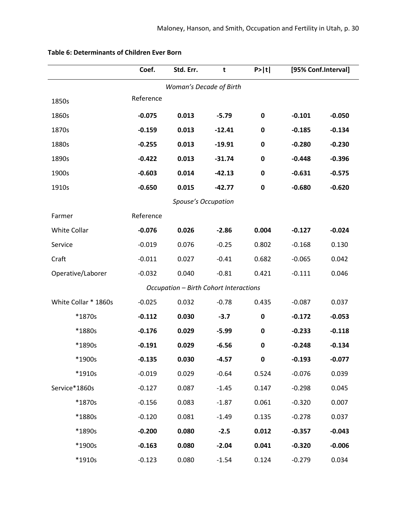|                      | Coef.     | Std. Err.                              | t        | P >  t      |          | [95% Conf.Interval] |
|----------------------|-----------|----------------------------------------|----------|-------------|----------|---------------------|
|                      |           | Woman's Decade of Birth                |          |             |          |                     |
| 1850s                | Reference |                                        |          |             |          |                     |
| 1860s                | $-0.075$  | 0.013                                  | $-5.79$  | $\bf{0}$    | $-0.101$ | $-0.050$            |
| 1870s                | $-0.159$  | 0.013                                  | $-12.41$ | 0           | $-0.185$ | $-0.134$            |
| 1880s                | $-0.255$  | 0.013                                  | $-19.91$ | $\mathbf 0$ | $-0.280$ | $-0.230$            |
| 1890s                | $-0.422$  | 0.013                                  | $-31.74$ | $\bf{0}$    | $-0.448$ | $-0.396$            |
| 1900s                | $-0.603$  | 0.014                                  | $-42.13$ | $\mathbf 0$ | $-0.631$ | $-0.575$            |
| 1910s                | $-0.650$  | 0.015                                  | $-42.77$ | $\mathbf 0$ | $-0.680$ | $-0.620$            |
|                      |           | Spouse's Occupation                    |          |             |          |                     |
| Farmer               | Reference |                                        |          |             |          |                     |
| White Collar         | $-0.076$  | 0.026                                  | $-2.86$  | 0.004       | $-0.127$ | $-0.024$            |
| Service              | $-0.019$  | 0.076                                  | $-0.25$  | 0.802       | $-0.168$ | 0.130               |
| Craft                | $-0.011$  | 0.027                                  | $-0.41$  | 0.682       | $-0.065$ | 0.042               |
| Operative/Laborer    | $-0.032$  | 0.040                                  | $-0.81$  | 0.421       | $-0.111$ | 0.046               |
|                      |           | Occupation - Birth Cohort Interactions |          |             |          |                     |
| White Collar * 1860s | $-0.025$  | 0.032                                  | $-0.78$  | 0.435       | $-0.087$ | 0.037               |
| *1870s               | $-0.112$  | 0.030                                  | $-3.7$   | $\mathbf 0$ | $-0.172$ | $-0.053$            |
| *1880s               | $-0.176$  | 0.029                                  | $-5.99$  | $\bf{0}$    | $-0.233$ | $-0.118$            |
| *1890s               | $-0.191$  | 0.029                                  | $-6.56$  | $\mathbf 0$ | $-0.248$ | $-0.134$            |
| *1900s               | $-0.135$  | 0.030                                  | $-4.57$  | 0           | $-0.193$ | $-0.077$            |
| *1910s               | $-0.019$  | 0.029                                  | $-0.64$  | 0.524       | $-0.076$ | 0.039               |
| Service*1860s        | $-0.127$  | 0.087                                  | $-1.45$  | 0.147       | $-0.298$ | 0.045               |
| *1870s               | $-0.156$  | 0.083                                  | $-1.87$  | 0.061       | $-0.320$ | 0.007               |
| *1880s               | $-0.120$  | 0.081                                  | $-1.49$  | 0.135       | $-0.278$ | 0.037               |
| *1890s               | $-0.200$  | 0.080                                  | $-2.5$   | 0.012       | $-0.357$ | $-0.043$            |
| *1900s               | $-0.163$  | 0.080                                  | $-2.04$  | 0.041       | $-0.320$ | $-0.006$            |
| *1910s               | $-0.123$  | 0.080                                  | $-1.54$  | 0.124       | $-0.279$ | 0.034               |

### **Table 6: Determinants of Children Ever Born**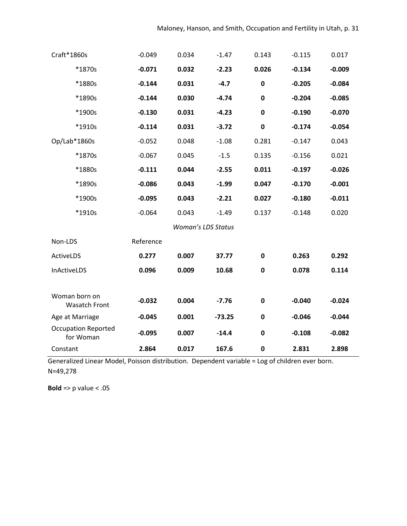| Craft*1860s                             | $-0.049$  | 0.034                     | $-1.47$  | 0.143       | $-0.115$ | 0.017    |
|-----------------------------------------|-----------|---------------------------|----------|-------------|----------|----------|
| *1870s                                  | $-0.071$  | 0.032                     | $-2.23$  | 0.026       | $-0.134$ | $-0.009$ |
| *1880s                                  | $-0.144$  | 0.031                     | $-4.7$   | $\mathbf 0$ | $-0.205$ | $-0.084$ |
| *1890s                                  | $-0.144$  | 0.030                     | $-4.74$  | 0           | $-0.204$ | $-0.085$ |
| *1900s                                  | $-0.130$  | 0.031                     | $-4.23$  | $\mathbf 0$ | $-0.190$ | $-0.070$ |
| *1910s                                  | $-0.114$  | 0.031                     | $-3.72$  | $\mathbf 0$ | $-0.174$ | $-0.054$ |
| Op/Lab*1860s                            | $-0.052$  | 0.048                     | $-1.08$  | 0.281       | $-0.147$ | 0.043    |
| *1870s                                  | $-0.067$  | 0.045                     | $-1.5$   | 0.135       | $-0.156$ | 0.021    |
| *1880s                                  | $-0.111$  | 0.044                     | $-2.55$  | 0.011       | $-0.197$ | $-0.026$ |
| *1890s                                  | $-0.086$  | 0.043                     | $-1.99$  | 0.047       | $-0.170$ | $-0.001$ |
| *1900s                                  | $-0.095$  | 0.043                     | $-2.21$  | 0.027       | $-0.180$ | $-0.011$ |
| *1910s                                  | $-0.064$  | 0.043                     | $-1.49$  | 0.137       | $-0.148$ | 0.020    |
|                                         |           | <b>Woman's LDS Status</b> |          |             |          |          |
| Non-LDS                                 | Reference |                           |          |             |          |          |
| ActiveLDS                               | 0.277     | 0.007                     | 37.77    | $\mathbf 0$ | 0.263    | 0.292    |
| InActiveLDS                             | 0.096     | 0.009                     | 10.68    | $\mathbf 0$ | 0.078    | 0.114    |
|                                         |           |                           |          |             |          |          |
| Woman born on<br><b>Wasatch Front</b>   | $-0.032$  | 0.004                     | $-7.76$  | $\pmb{0}$   | $-0.040$ | $-0.024$ |
| Age at Marriage                         | $-0.045$  | 0.001                     | $-73.25$ | $\bf{0}$    | $-0.046$ | $-0.044$ |
| <b>Occupation Reported</b><br>for Woman | $-0.095$  | 0.007                     | $-14.4$  | $\mathbf 0$ | $-0.108$ | $-0.082$ |
| Constant                                | 2.864     | 0.017                     | 167.6    | $\bf{0}$    | 2.831    | 2.898    |

Generalized Linear Model, Poisson distribution. Dependent variable = Log of children ever born. N=49,278

**Bold** => p value < .05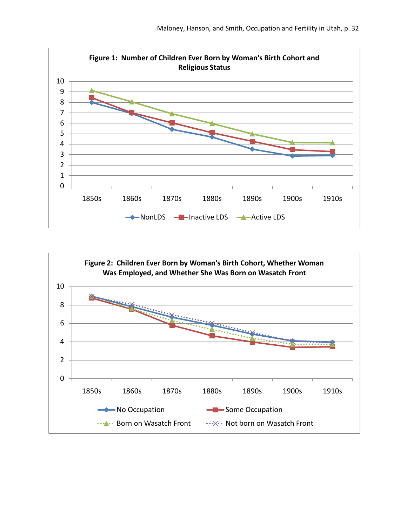

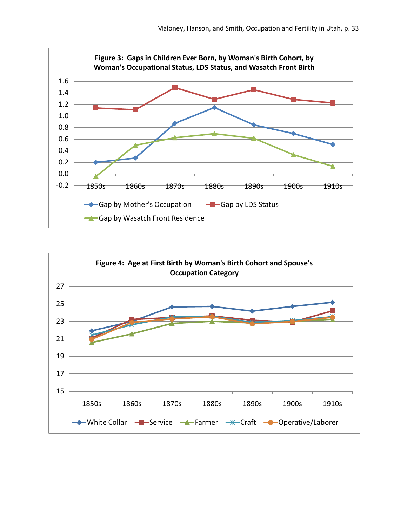

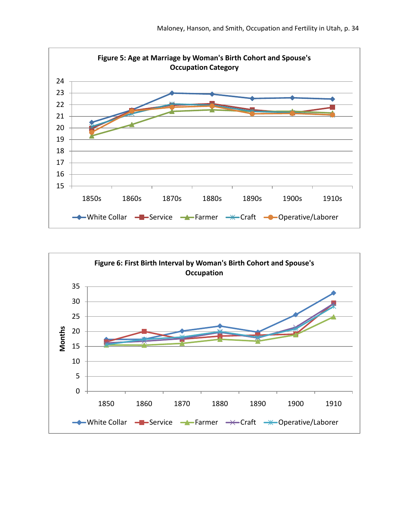

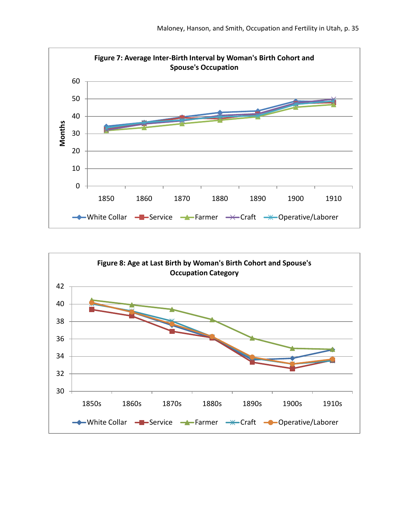

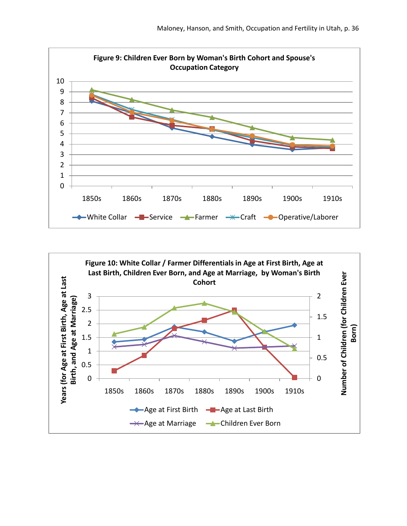